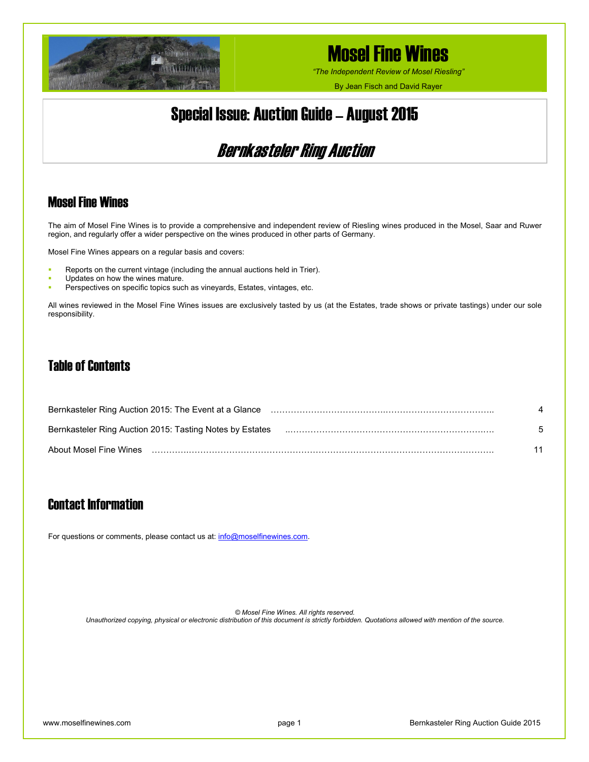

*"The Independent Review of Mosel Riesling"*

By Jean Fisch and David Rayer

## Special Issue: Auction Guide – August 2015

## Bernkasteler Ring Auction

## Mosel Fine Wines

The aim of Mosel Fine Wines is to provide a comprehensive and independent review of Riesling wines produced in the Mosel, Saar and Ruwer region, and regularly offer a wider perspective on the wines produced in other parts of Germany.

Mosel Fine Wines appears on a regular basis and covers:

- Reports on the current vintage (including the annual auctions held in Trier).
- Updates on how the wines mature.
- Perspectives on specific topics such as vineyards, Estates, vintages, etc.

All wines reviewed in the Mosel Fine Wines issues are exclusively tasted by us (at the Estates, trade shows or private tastings) under our sole responsibility.

### Table of Contents

| Bernkasteler Ring Auction 2015: Tasting Notes by Estates | ॕ  |
|----------------------------------------------------------|----|
| About Mosel Fine Wines                                   | 11 |

## Contact Information

For questions or comments, please contact us at: [info@moselfinewines.com](mailto:info@moselfinewines.com).

*© Mosel Fine Wines. All rights reserved. Unauthorized copying, physical or electronic distribution of this document is strictly forbidden. Quotations allowed with mention of the source.*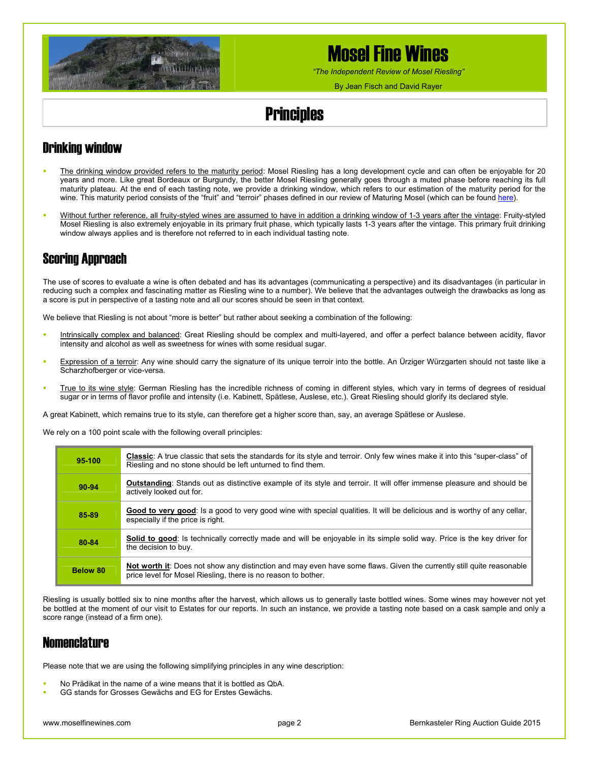

*"The Independent Review of Mosel Riesling"*

By Jean Fisch and David Rayer

# **Principles**

## Drinking window

- The drinking window provided refers to the maturity period: Mosel Riesling has a long development cycle and can often be enjoyable for 20 years and more. Like great Bordeaux or Burgundy, the better Mosel Riesling generally goes through a muted phase before reaching its full maturity plateau. At the end of each tasting note, we provide a drinking window, which refers to our estimation of the maturity period for the wine. This maturity period consists of the "fruit" and "terroir" phases defined in our review of Maturing Mosel (which can be found [here\)](http://www.moselfinewines.com/maturing-mosel.php).
- Without further reference, all fruity-styled wines are assumed to have in addition a drinking window of 1-3 years after the vintage: Fruity-styled Mosel Riesling is also extremely enjoyable in its primary fruit phase, which typically lasts 1-3 years after the vintage. This primary fruit drinking window always applies and is therefore not referred to in each individual tasting note.

## Scoring Approach

The use of scores to evaluate a wine is often debated and has its advantages (communicating a perspective) and its disadvantages (in particular in reducing such a complex and fascinating matter as Riesling wine to a number). We believe that the advantages outweigh the drawbacks as long as a score is put in perspective of a tasting note and all our scores should be seen in that context.

We believe that Riesling is not about "more is better" but rather about seeking a combination of the following:

- Intrinsically complex and balanced: Great Riesling should be complex and multi-layered, and offer a perfect balance between acidity, flavor intensity and alcohol as well as sweetness for wines with some residual sugar.
- **Expression of a terroir:** Any wine should carry the signature of its unique terroir into the bottle. An Urziger Würzgarten should not taste like a Scharzhofberger or vice-versa.
- True to its wine style: German Riesling has the incredible richness of coming in different styles, which vary in terms of degrees of residual sugar or in terms of flavor profile and intensity (i.e. Kabinett, Spätlese, Auslese, etc.). Great Riesling should glorify its declared style.

A great Kabinett, which remains true to its style, can therefore get a higher score than, say, an average Spätlese or Auslese.

We rely on a 100 point scale with the following overall principles:

| 95-100   | Classic: A true classic that sets the standards for its style and terroir. Only few wines make it into this "super-class" of<br>Riesling and no stone should be left unturned to find them. |
|----------|---------------------------------------------------------------------------------------------------------------------------------------------------------------------------------------------|
| 90-94    | <b>Outstanding:</b> Stands out as distinctive example of its style and terroir. It will offer immense pleasure and should be<br>actively looked out for.                                    |
| 85-89    | Good to very good: Is a good to very good wine with special qualities. It will be delicious and is worthy of any cellar,<br>especially if the price is right.                               |
| 80-84    | Solid to good: Is technically correctly made and will be enjoyable in its simple solid way. Price is the key driver for<br>the decision to buy.                                             |
| Below 80 | Not worth it: Does not show any distinction and may even have some flaws. Given the currently still quite reasonable<br>price level for Mosel Riesling, there is no reason to bother.       |

Riesling is usually bottled six to nine months after the harvest, which allows us to generally taste bottled wines. Some wines may however not yet be bottled at the moment of our visit to Estates for our reports. In such an instance, we provide a tasting note based on a cask sample and only a score range (instead of a firm one).

### **Nomenclature**

Please note that we are using the following simplifying principles in any wine description:

- No Prädikat in the name of a wine means that it is bottled as QbA.
- GG stands for Grosses Gewächs and EG for Erstes Gewächs.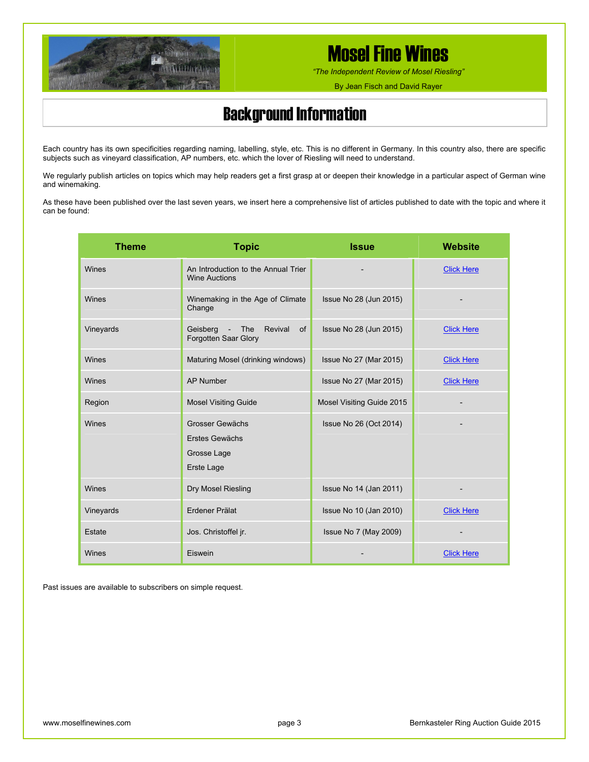

*"The Independent Review of Mosel Riesling"*

By Jean Fisch and David Rayer

## Background Information

Each country has its own specificities regarding naming, labelling, style, etc. This is no different in Germany. In this country also, there are specific subjects such as vineyard classification, AP numbers, etc. which the lover of Riesling will need to understand.

We regularly publish articles on topics which may help readers get a first grasp at or deepen their knowledge in a particular aspect of German wine and winemaking.

As these have been published over the last seven years, we insert here a comprehensive list of articles published to date with the topic and where it can be found:

| <b>Theme</b> | <b>Topic</b>                                                   | <b>Issue</b>              | Website           |
|--------------|----------------------------------------------------------------|---------------------------|-------------------|
| Wines        | An Introduction to the Annual Trier<br><b>Wine Auctions</b>    |                           | <b>Click Here</b> |
| Wines        | Winemaking in the Age of Climate<br>Change                     | Issue No 28 (Jun 2015)    |                   |
| Vineyards    | Geisberg - The<br>Revival<br>of<br>Forgotten Saar Glory        | Issue No 28 (Jun 2015)    | <b>Click Here</b> |
| Wines        | Maturing Mosel (drinking windows)                              | Issue No 27 (Mar 2015)    | <b>Click Here</b> |
| Wines        | <b>AP Number</b>                                               | Issue No 27 (Mar 2015)    | <b>Click Here</b> |
| Region       | <b>Mosel Visiting Guide</b>                                    | Mosel Visiting Guide 2015 |                   |
| Wines        | Grosser Gewächs<br>Erstes Gewächs<br>Grosse Lage<br>Erste Lage | Issue No 26 (Oct 2014)    |                   |
| Wines        | Dry Mosel Riesling                                             | Issue No 14 (Jan 2011)    |                   |
| Vineyards    | Erdener Prälat                                                 | Issue No 10 (Jan 2010)    | <b>Click Here</b> |
| Estate       | Jos. Christoffel jr.                                           | Issue No 7 (May 2009)     |                   |
| Wines        | Eiswein                                                        |                           | <b>Click Here</b> |

Past issues are available to subscribers on simple request.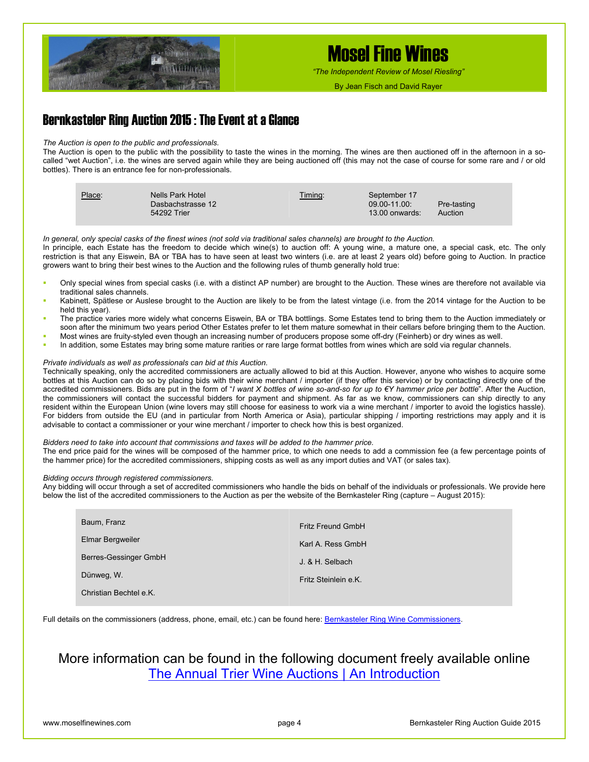

*"The Independent Review of Mosel Riesling"*

By Jean Fisch and David Rayer

### Bernkasteler Ring Auction 2015 : The Event at a Glance

#### *The Auction is open to the public and professionals.*

The Auction is open to the public with the possibility to taste the wines in the morning. The wines are then auctioned off in the afternoon in a socalled "wet Auction", i.e. the wines are served again while they are being auctioned off (this may not the case of course for some rare and / or old bottles). There is an entrance fee for non-professionals.

| Place: | Nells Park Hotel<br>Dasbachstrasse 12<br>54292 Trier | Timing: | September 17<br>$09.00 - 11.00$<br>$13.00$ onwards: | Pre-tasting<br>Auction |
|--------|------------------------------------------------------|---------|-----------------------------------------------------|------------------------|
|--------|------------------------------------------------------|---------|-----------------------------------------------------|------------------------|

*In general, only special casks of the finest wines (not sold via traditional sales channels) are brought to the Auction.* 

In principle, each Estate has the freedom to decide which wine(s) to auction off: A young wine, a mature one, a special cask, etc. The only restriction is that any Eiswein, BA or TBA has to have seen at least two winters (i.e. are at least 2 years old) before going to Auction. In practice growers want to bring their best wines to the Auction and the following rules of thumb generally hold true:

- Only special wines from special casks (i.e. with a distinct AP number) are brought to the Auction. These wines are therefore not available via traditional sales channels.
- Kabinett, Spätlese or Auslese brought to the Auction are likely to be from the latest vintage (i.e. from the 2014 vintage for the Auction to be held this year).
- The practice varies more widely what concerns Eiswein, BA or TBA bottlings. Some Estates tend to bring them to the Auction immediately or soon after the minimum two years period Other Estates prefer to let them mature somewhat in their cellars before bringing them to the Auction.
- Most wines are fruity-styled even though an increasing number of producers propose some off-dry (Feinherb) or dry wines as well.
- In addition, some Estates may bring some mature rarities or rare large format bottles from wines which are sold via regular channels.

#### *Private individuals as well as professionals can bid at this Auction.*

Technically speaking, only the accredited commissioners are actually allowed to bid at this Auction. However, anyone who wishes to acquire some bottles at this Auction can do so by placing bids with their wine merchant / importer (if they offer this service) or by contacting directly one of the accredited commissioners. Bids are put in the form of "*I want X bottles of wine so-and-so for up to €Y hammer price per bottle*". After the Auction, the commissioners will contact the successful bidders for payment and shipment. As far as we know, commissioners can ship directly to any resident within the European Union (wine lovers may still choose for easiness to work via a wine merchant / importer to avoid the logistics hassle). For bidders from outside the EU (and in particular from North America or Asia), particular shipping / importing restrictions may apply and it is advisable to contact a commissioner or your wine merchant / importer to check how this is best organized.

#### *Bidders need to take into account that commissions and taxes will be added to the hammer price.*

The end price paid for the wines will be composed of the hammer price, to which one needs to add a commission fee (a few percentage points of the hammer price) for the accredited commissioners, shipping costs as well as any import duties and VAT (or sales tax).

#### *Bidding occurs through registered commissioners.*

Any bidding will occur through a set of accredited commissioners who handle the bids on behalf of the individuals or professionals. We provide here below the list of the accredited commissioners to the Auction as per the website of the Bernkasteler Ring (capture – August 2015):

| Baum, Franz            | Fritz Freund GmbH    |
|------------------------|----------------------|
| Elmar Bergweiler       | Karl A. Ress GmbH    |
| Berres-Gessinger GmbH  | J. & H. Selbach      |
| Dünweg, W.             | Fritz Steinlein e.K. |
| Christian Bechtel e.K. |                      |

Full details on the commissioners (address, phone, email, etc.) can be found here: [Bernkasteler Ring Wine Commissioners](http://www.bernkasteler-ring.de/images/die_kommissionaere.pdf).

### More information can be found in the following document freely available online [The Annual Trier Wine Auctions | An Introduction](http://www.moselfinewines.com/Mosel%20Fine%20Wines%20-%20Introduction%20to%20the%20Trier%20Wine%20Auctions.pdf)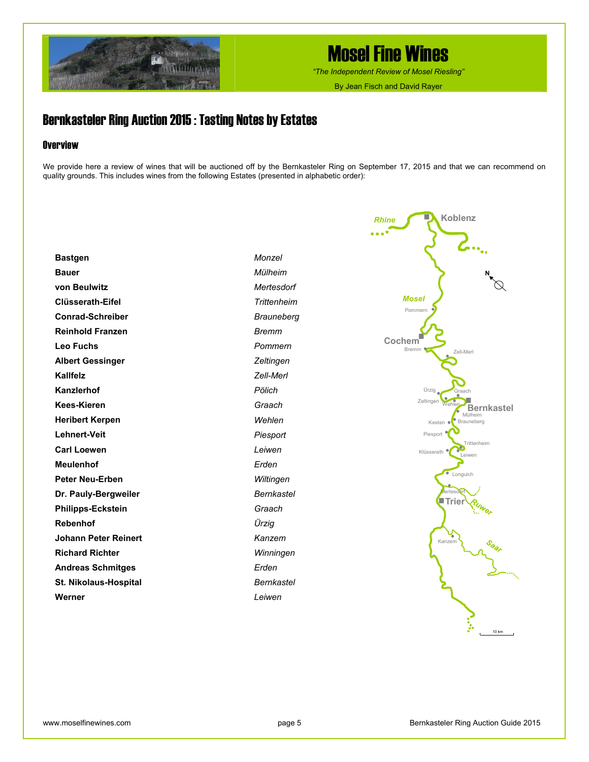

*"The Independent Review of Mosel Riesling"*

By Jean Fisch and David Rayer

### Bernkasteler Ring Auction 2015 : Tasting Notes by Estates

### **Overview**

We provide here a review of wines that will be auctioned off by the Bernkasteler Ring on September 17, 2015 and that we can recommend on quality grounds. This includes wines from the following Estates (presented in alphabetic order):

**Bastgen Bauer von Beulwitz Clüsserath-Eifel Conrad-Schreiber Reinhold Franzen Leo Fuchs Albert Gessinger Kallfelz Kanzlerhof Kees-Kieren Heribert Kerpen Lehnert-Veit Carl Loewen Meulenhof Peter Neu-Erben Dr. Pauly-Bergweiler Philipps-Eckstein Rebenhof Johann Peter Reinert Richard Richter Andreas Schmitges St. Nikolaus-Hospital Werner** *Monzel Mülheim Mertesdorf Trittenheim Brauneberg Bremm Pommern Zeltingen Zell-Merl Pölich Graach Wehlen Piesport Leiwen Erden Wiltingen Bernkastel Graach Ürzig Kanzem Winningen Erden Bernkastel Leiwen* 

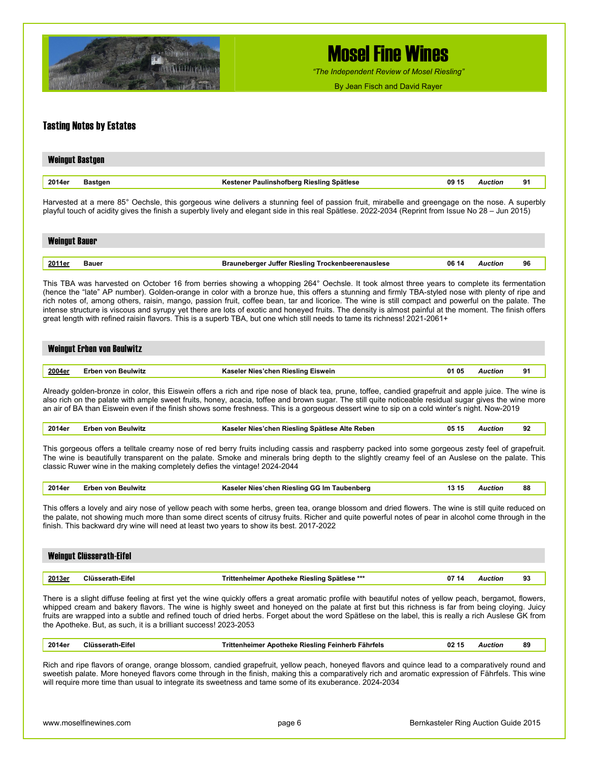

*"The Independent Review of Mosel Riesling"*

By Jean Fisch and David Rayer

#### Tasting Notes by Estates

| <b>Weingut Bastgen</b> |                                           |       |                |    |
|------------------------|-------------------------------------------|-------|----------------|----|
| 2014er<br>Bastgen      | Kestener Paulinshofberg Riesling Spätlese | 09 15 | <b>Auction</b> | 91 |

Harvested at a mere 85° Oechsle, this gorgeous wine delivers a stunning feel of passion fruit, mirabelle and greengage on the nose. A superbly playful touch of acidity gives the finish a superbly lively and elegant side in this real Spätlese. 2022-2034 (Reprint from Issue No 28 – Jun 2015)

| <b>Weingut Bauer</b> |       |                                                          |       |         |    |  |  |
|----------------------|-------|----------------------------------------------------------|-------|---------|----|--|--|
|                      |       |                                                          |       |         |    |  |  |
| 2011er               | Bauer | <b>Brauneberger Juffer Riesling Trockenbeerenauslese</b> | 06 14 | Auction | 96 |  |  |

This TBA was harvested on October 16 from berries showing a whopping 264° Oechsle. It took almost three years to complete its fermentation (hence the "late" AP number). Golden-orange in color with a bronze hue, this offers a stunning and firmly TBA-styled nose with plenty of ripe and rich notes of, among others, raisin, mango, passion fruit, coffee bean, tar and licorice. The wine is still compact and powerful on the palate. The intense structure is viscous and syrupy yet there are lots of exotic and honeyed fruits. The density is almost painful at the moment. The finish offers great length with refined raisin flavors. This is a superb TBA, but one which still needs to tame its richness! 2021-2061+

#### Weingut Erben von Beulwitz

|  | 2004e <sub>1</sub><br>$\sim$ | . | Eiswein<br>Rieslinα<br>cnen<br>--- | 0.<br>. . | wction | п. |
|--|------------------------------|---|------------------------------------|-----------|--------|----|
|--|------------------------------|---|------------------------------------|-----------|--------|----|

Already golden-bronze in color, this Eiswein offers a rich and ripe nose of black tea, prune, toffee, candied grapefruit and apple juice. The wine is also rich on the palate with ample sweet fruits, honey, acacia, toffee and brown sugar. The still quite noticeable residual sugar gives the wine more an air of BA than Eiswein even if the finish shows some freshness. This is a gorgeous dessert wine to sip on a cold winter's night. Now-2019

| 2014er | Erben von Beulwitz | Kaseler Nies'chen Riesling Spätlese Alte Reben | 05 15 | Auction | 92 |
|--------|--------------------|------------------------------------------------|-------|---------|----|
|--------|--------------------|------------------------------------------------|-------|---------|----|

This gorgeous offers a telltale creamy nose of red berry fruits including cassis and raspberry packed into some gorgeous zesty feel of grapefruit. The wine is beautifully transparent on the palate. Smoke and minerals bring depth to the slightly creamy feel of an Auslese on the palate. This classic Ruwer wine in the making completely defies the vintage! 2024-2044

| 2014er | Erben von Beulwitz | r Nies'chen Riesling GG Im Taubenberg.<br>Kaseler | -15<br> |  | 88 |
|--------|--------------------|---------------------------------------------------|---------|--|----|
|--------|--------------------|---------------------------------------------------|---------|--|----|

This offers a lovely and airy nose of yellow peach with some herbs, green tea, orange blossom and dried flowers. The wine is still quite reduced on the palate, not showing much more than some direct scents of citrusy fruits. Richer and quite powerful notes of pear in alcohol come through in the finish. This backward dry wine will need at least two years to show its best. 2017-2022

| <b>Weingut Clüsserath-Eifel</b> |                  |                                              |       |         |    |  |
|---------------------------------|------------------|----------------------------------------------|-------|---------|----|--|
| 2013er                          | Clüsserath-Eifel | Trittenheimer Apotheke Riesling Spätlese *** | 07 14 | Auction | 93 |  |

There is a slight diffuse feeling at first yet the wine quickly offers a great aromatic profile with beautiful notes of yellow peach, bergamot, flowers, whipped cream and bakery flavors. The wine is highly sweet and honeyed on the palate at first but this richness is far from being cloying. Juicy fruits are wrapped into a subtle and refined touch of dried herbs. Forget about the word Spätlese on the label, this is really a rich Auslese GK from the Apotheke. But, as such, it is a brilliant success! 2023-2053

| 2014er | -ітеі | .<br>-ährfale<br><b>KIESIING</b><br>^''<br>.ıme<br>.<br>. . | 02<br>. .<br>. . | . | 89 |
|--------|-------|-------------------------------------------------------------|------------------|---|----|
|        |       |                                                             |                  |   |    |

Rich and ripe flavors of orange, orange blossom, candied grapefruit, yellow peach, honeyed flavors and quince lead to a comparatively round and sweetish palate. More honeyed flavors come through in the finish, making this a comparatively rich and aromatic expression of Fährfels. This wine will require more time than usual to integrate its sweetness and tame some of its exuberance. 2024-2034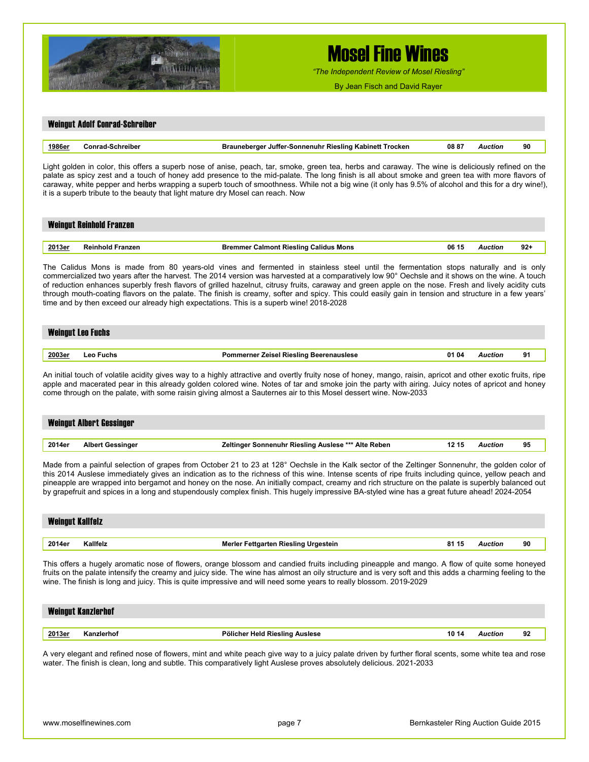

*"The Independent Review of Mosel Riesling"*

By Jean Fisch and David Rayer

# Weingut Adolf Conrad-Schreiber **1986er Conrad-Schreiber Brauneberger Juffer-Sonnenuhr Riesling Kabinett Trocken 08 87** *Auction* **90**

Light golden in color, this offers a superb nose of anise, peach, tar, smoke, green tea, herbs and caraway. The wine is deliciously refined on the palate as spicy zest and a touch of honey add presence to the mid-palate. The long finish is all about smoke and green tea with more flavors of caraway, white pepper and herbs wrapping a superb touch of smoothness. While not a big wine (it only has 9.5% of alcohol and this for a dry wine!), it is a superb tribute to the beauty that light mature dry Mosel can reach. Now

# Weingut Reinhold Franzen

| <u> 2013er</u> | ъ. | <b>Rieslind</b><br>salidus<br>mons<br>nnı<br>almo | 06 | :пог | <br>- |
|----------------|----|---------------------------------------------------|----|------|-------|
|                |    |                                                   |    |      |       |

The Calidus Mons is made from 80 years-old vines and fermented in stainless steel until the fermentation stops naturally and is only commercialized two years after the harvest. The 2014 version was harvested at a comparatively low 90° Oechsle and it shows on the wine. A touch of reduction enhances superbly fresh flavors of grilled hazelnut, citrusy fruits, caraway and green apple on the nose. Fresh and lively acidity cuts through mouth-coating flavors on the palate. The finish is creamy, softer and spicy. This could easily gain in tension and structure in a few years' time and by then exceed our already high expectations. This is a superb wine! 2018-2028

| <b>Weingut Leo Fuchs</b> |           |                                                         |  |         |    |  |  |
|--------------------------|-----------|---------------------------------------------------------|--|---------|----|--|--|
| <u> 2003er</u>           | Leo Fuchs | <b>Pommerner Zeisel Riesling Beerenauslese</b><br>01 04 |  | Auction | 91 |  |  |

An initial touch of volatile acidity gives way to a highly attractive and overtly fruity nose of honey, mango, raisin, apricot and other exotic fruits, ripe apple and macerated pear in this already golden colored wine. Notes of tar and smoke join the party with airing. Juicy notes of apricot and honey come through on the palate, with some raisin giving almost a Sauternes air to this Mosel dessert wine. Now-2033

| <b>Weingut Albert Gessinger</b> |                         |                                                              |                |    |  |  |  |  |
|---------------------------------|-------------------------|--------------------------------------------------------------|----------------|----|--|--|--|--|
| 2014er                          | <b>Albert Gessinger</b> | Zeltinger Sonnenuhr Riesling Auslese *** Alte Reben<br>12 15 | <b>Auction</b> | 95 |  |  |  |  |

Made from a painful selection of grapes from October 21 to 23 at 128° Oechsle in the Kalk sector of the Zeltinger Sonnenuhr, the golden color of this 2014 Auslese immediately gives an indication as to the richness of this wine. Intense scents of ripe fruits including quince, yellow peach and pineapple are wrapped into bergamot and honey on the nose. An initially compact, creamy and rich structure on the palate is superbly balanced out by grapefruit and spices in a long and stupendously complex finish. This hugely impressive BA-styled wine has a great future ahead! 2024-2054

| <b>Weingut Kallfelz</b> |          |                                                      |         |    |  |  |  |
|-------------------------|----------|------------------------------------------------------|---------|----|--|--|--|
| 2014er                  | Kallfelz | <b>Merler Fettgarten Riesling Urgestein</b><br>81 15 | Auction | 90 |  |  |  |
|                         |          |                                                      |         |    |  |  |  |

This offers a hugely aromatic nose of flowers, orange blossom and candied fruits including pineapple and mango. A flow of quite some honeyed fruits on the palate intensify the creamy and juicy side. The wine has almost an oily structure and is very soft and this adds a charming feeling to the wine. The finish is long and juicy. This is quite impressive and will need some years to really blossom. 2019-2029

| <b>Weingut Kanzlerhof</b> |            |                                |     |                |    |  |  |
|---------------------------|------------|--------------------------------|-----|----------------|----|--|--|
| 2013er                    | Kanzlerhof | Pölicher Held Riesling Auslese | 101 | <b>\uction</b> | 92 |  |  |
|                           |            |                                |     |                |    |  |  |

A very elegant and refined nose of flowers, mint and white peach give way to a juicy palate driven by further floral scents, some white tea and rose water. The finish is clean, long and subtle. This comparatively light Auslese proves absolutely delicious. 2021-2033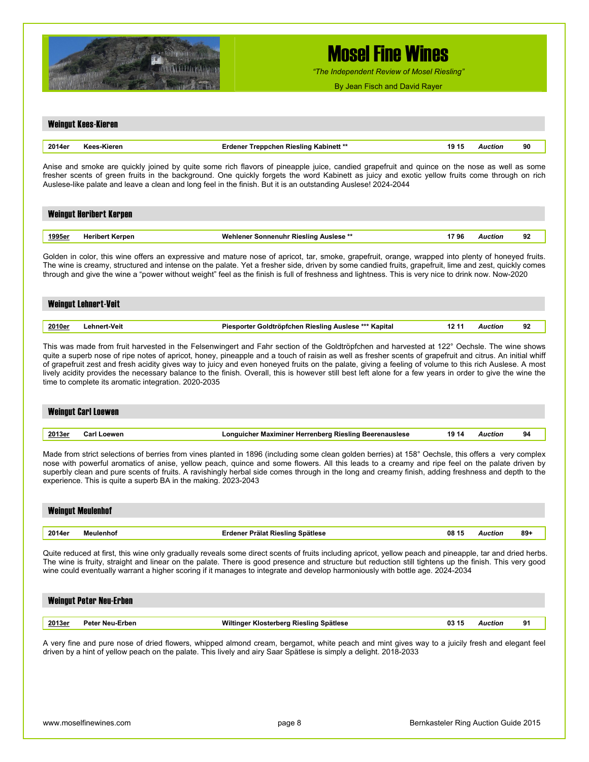

*"The Independent Review of Mosel Riesling"*

By Jean Fisch and David Rayer

# Weingut Kees-Kieren **2014er Kees-Kieren Erdener Treppchen Riesling Kabinett \*\* 19 15** *Auction* **90**

Anise and smoke are quickly joined by quite some rich flavors of pineapple juice, candied grapefruit and quince on the nose as well as some fresher scents of green fruits in the background. One quickly forgets the word Kabinett as juicy and exotic yellow fruits come through on rich Auslese-like palate and leave a clean and long feel in the finish. But it is an outstanding Auslese! 2024-2044

|               | <b>Weingut Heribert Kerpen</b> |                                                |         |    |
|---------------|--------------------------------|------------------------------------------------|---------|----|
| <u>1995er</u> | Heribert Kerpen                | 1796<br>Wehlener Sonnenuhr Riesling Auslese ** | Auction | 92 |

Golden in color, this wine offers an expressive and mature nose of apricot, tar, smoke, grapefruit, orange, wrapped into plenty of honeyed fruits. The wine is creamy, structured and intense on the palate. Yet a fresher side, driven by some candied fruits, grapefruit, lime and zest, quickly comes through and give the wine a "power without weight" feel as the finish is full of freshness and lightness. This is very nice to drink now. Now-2020

|        | Weingut Lehnert-Veit |                                                                |         |    |
|--------|----------------------|----------------------------------------------------------------|---------|----|
| 2010er | Lehnert-Veit         | Piesporter Goldtröpfchen Riesling Auslese *** Kapital<br>12 11 | Auction | 92 |

This was made from fruit harvested in the Felsenwingert and Fahr section of the Goldtröpfchen and harvested at 122° Oechsle. The wine shows quite a superb nose of ripe notes of apricot, honey, pineapple and a touch of raisin as well as fresher scents of grapefruit and citrus. An initial whiff of grapefruit zest and fresh acidity gives way to juicy and even honeyed fruits on the palate, giving a feeling of volume to this rich Auslese. A most lively acidity provides the necessary balance to the finish. Overall, this is however still best left alone for a few years in order to give the wine the time to complete its aromatic integration. 2020-2035

| <b>Weingut Carl Loewen</b> |                    |                                                        |       |         |    |  |  |  |
|----------------------------|--------------------|--------------------------------------------------------|-------|---------|----|--|--|--|
| 2013er                     | <b>Carl Loewen</b> | Longuicher Maximiner Herrenberg Riesling Beerenauslese | 19 14 | Auction | 94 |  |  |  |

Made from strict selections of berries from vines planted in 1896 (including some clean golden berries) at 158° Oechsle, this offers a very complex nose with powerful aromatics of anise, yellow peach, quince and some flowers. All this leads to a creamy and ripe feel on the palate driven by superbly clean and pure scents of fruits. A ravishingly herbal side comes through in the long and creamy finish, adding freshness and depth to the experience. This is quite a superb BA in the making. 2023-2043

| <b>Weingut Meulenhof</b> |           |                                                  |                |       |  |  |  |
|--------------------------|-----------|--------------------------------------------------|----------------|-------|--|--|--|
|                          |           |                                                  |                |       |  |  |  |
| 2014er                   | Meulenhof | <b>Erdener Prälat Riesling Spätlese</b><br>08 15 | <b>Auction</b> | $89+$ |  |  |  |

Quite reduced at first, this wine only gradually reveals some direct scents of fruits including apricot, yellow peach and pineapple, tar and dried herbs. The wine is fruity, straight and linear on the palate. There is good presence and structure but reduction still tightens up the finish. This very good wine could eventually warrant a higher scoring if it manages to integrate and develop harmoniously with bottle age. 2024-2034

| <b>Weingut Peter Neu-Erben</b> |                 |                                         |       |         |    |  |  |  |
|--------------------------------|-----------------|-----------------------------------------|-------|---------|----|--|--|--|
| 2013er                         | Peter Neu-Erben | Wiltinger Klosterberg Riesling Spätlese | 03 15 | Auction | 91 |  |  |  |

A very fine and pure nose of dried flowers, whipped almond cream, bergamot, white peach and mint gives way to a juicily fresh and elegant feel driven by a hint of yellow peach on the palate. This lively and airy Saar Spätlese is simply a delight. 2018-2033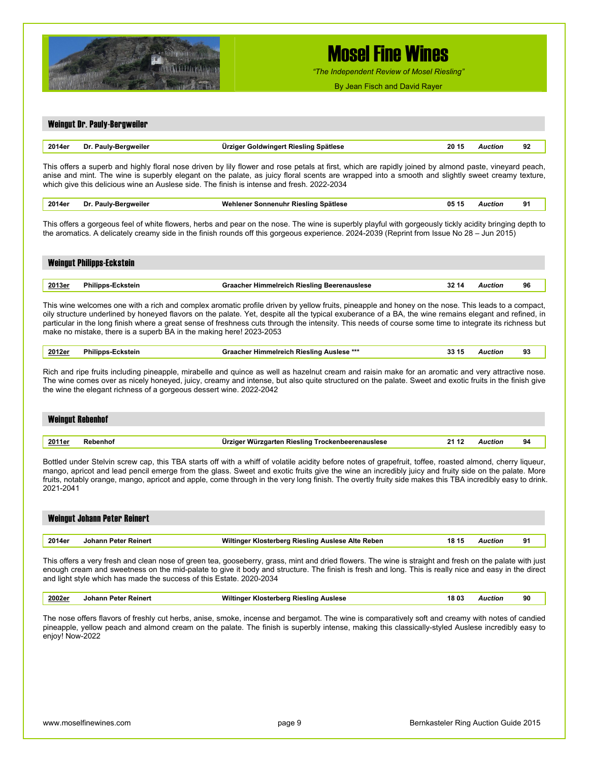

Weingut Dr. Pauly-Bergweiler

# Mosel Fine Wines

*"The Independent Review of Mosel Riesling"*

By Jean Fisch and David Rayer

### **2014er Dr. Pauly-Bergweiler Ürziger Goldwingert Riesling Spätlese 20 15** *Auction* **92**  This offers a superb and highly floral nose driven by lily flower and rose petals at first, which are rapidly joined by almond paste, vineyard peach, anise and mint. The wine is superbly elegant on the palate, as juicy floral scents are wrapped into a smooth and slightly sweet creamy texture, which give this delicious wine an Auslese side. The finish is intense and fresh. 2022-2034 **2014er Dr. Pauly-Bergweiler Wehlener Sonnenuhr Riesling Spätlese 05 15** *Auction* **91** This offers a gorgeous feel of white flowers, herbs and pear on the nose. The wine is superbly playful with gorgeously tickly acidity bringing depth to the aromatics. A delicately creamy side in the finish rounds off this gorgeous experience. 2024-2039 (Reprint from Issue No 28 – Jun 2015) Weingut Philipps-Eckstein **2013er Philipps-Eckstein Graacher Himmelreich Riesling Beerenauslese 32 14** *Auction* **96**  This wine welcomes one with a rich and complex aromatic profile driven by yellow fruits, pineapple and honey on the nose. This leads to a compact, oily structure underlined by honeyed flavors on the palate. Yet, despite all the typical exuberance of a BA, the wine remains elegant and refined, in particular in the long finish where a great sense of freshness cuts through the intensity. This needs of course some time to integrate its richness but make no mistake, there is a superb BA in the making here! 2023-2053 **2012er Philipps-Eckstein Graacher Himmelreich Riesling Auslese \*\*\* 33 15** *Auction* **93**  Rich and ripe fruits including pineapple, mirabelle and quince as well as hazelnut cream and raisin make for an aromatic and very attractive nose. The wine comes over as nicely honeyed, juicy, creamy and intense, but also quite structured on the palate. Sweet and exotic fruits in the finish give the wine the elegant richness of a gorgeous dessert wine. 2022-2042

| <b>Weingut Rebenhof</b> |          |                                                           |         |    |  |  |  |
|-------------------------|----------|-----------------------------------------------------------|---------|----|--|--|--|
|                         |          |                                                           |         |    |  |  |  |
| <u> 2011er</u>          | Rebenhof | Ürziger Würzgarten Riesling Trockenbeerenauslese<br>21 12 | Auction | 94 |  |  |  |

Bottled under Stelvin screw cap, this TBA starts off with a whiff of volatile acidity before notes of grapefruit, toffee, roasted almond, cherry liqueur, mango, apricot and lead pencil emerge from the glass. Sweet and exotic fruits give the wine an incredibly juicy and fruity side on the palate. More fruits, notably orange, mango, apricot and apple, come through in the very long finish. The overtly fruity side makes this TBA incredibly easy to drink. 2021-2041

## Weingut Johann Peter Reinert **2014er Johann Peter Reinert Wiltinger Klosterberg Riesling Auslese Alte Reben 18 15** *Auction* **91**

This offers a very fresh and clean nose of green tea, gooseberry, grass, mint and dried flowers. The wine is straight and fresh on the palate with just enough cream and sweetness on the mid-palate to give it body and structure. The finish is fresh and long. This is really nice and easy in the direct and light style which has made the success of this Estate. 2020-2034

| <u>2002e</u> | Reiner<br>∙ete<br>onani.<br>. | <br>Διιείρερ<br>ieslind<br>____<br>. | 18 OG<br>. | .:110P<br>. | 90 |
|--------------|-------------------------------|--------------------------------------|------------|-------------|----|
|              |                               |                                      |            |             |    |

The nose offers flavors of freshly cut herbs, anise, smoke, incense and bergamot. The wine is comparatively soft and creamy with notes of candied pineapple, yellow peach and almond cream on the palate. The finish is superbly intense, making this classically-styled Auslese incredibly easy to enjoy! Now-2022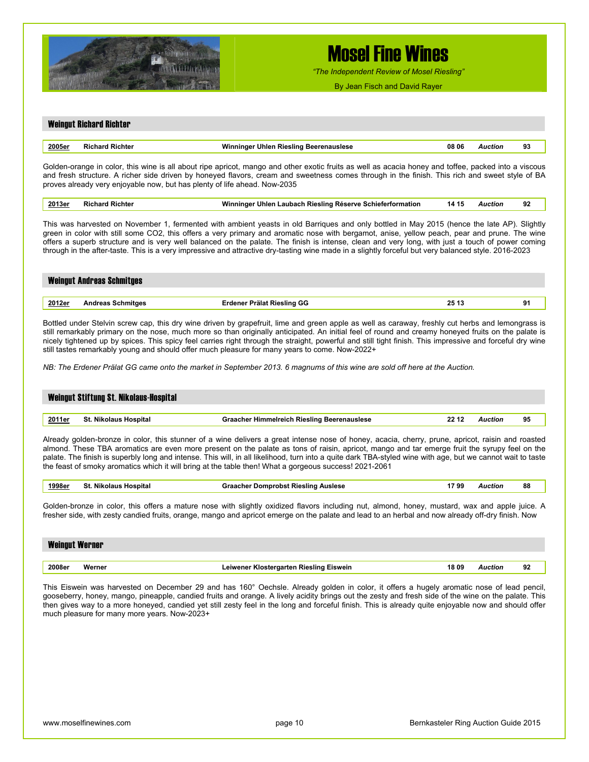

*"The Independent Review of Mosel Riesling"*

By Jean Fisch and David Rayer

#### Weingut Richard Richter

| 2005 <sub>6</sub> | . | - --<br><br>. | . | . | $\mathbf{r}$<br>ູ<br>__ |
|-------------------|---|---------------|---|---|-------------------------|
|                   |   |               |   |   |                         |

Golden-orange in color, this wine is all about ripe apricot, mango and other exotic fruits as well as acacia honey and toffee, packed into a viscous and fresh structure. A richer side driven by honeyed flavors, cream and sweetness comes through in the finish. This rich and sweet style of BA proves already very enjoyable now, but has plenty of life ahead. Now-2035

| 2013er | Richte<br>. | VACAMA<br><b>Rieslind</b><br>_aubach<br>…schieferfor"<br>unier .<br><b>RESER</b> | . . | o٥<br>-94 |
|--------|-------------|----------------------------------------------------------------------------------|-----|-----------|
|        |             |                                                                                  |     |           |

This was harvested on November 1, fermented with ambient yeasts in old Barriques and only bottled in May 2015 (hence the late AP). Slightly green in color with still some CO2, this offers a very primary and aromatic nose with bergamot, anise, yellow peach, pear and prune. The wine offers a superb structure and is very well balanced on the palate. The finish is intense, clean and very long, with just a touch of power coming through in the after-taste. This is a very impressive and attractive dry-tasting wine made in a slightly forceful but very balanced style. 2016-2023

| <b>Weingut Andreas Schmitges</b> |                          |                            |       |  |  |  |
|----------------------------------|--------------------------|----------------------------|-------|--|--|--|
|                                  |                          |                            |       |  |  |  |
| <u>2012er</u>                    | <b>Andreas Schmitges</b> | Erdener Prälat Riesling GG | 25 13 |  |  |  |

Bottled under Stelvin screw cap, this dry wine driven by grapefruit, lime and green apple as well as caraway, freshly cut herbs and lemongrass is still remarkably primary on the nose, much more so than originally anticipated. An initial feel of round and creamy honeyed fruits on the palate is nicely tightened up by spices. This spicy feel carries right through the straight, powerful and still tight finish. This impressive and forceful dry wine still tastes remarkably young and should offer much pleasure for many years to come. Now-2022+

*NB: The Erdener Prälat GG came onto the market in September 2013. 6 magnums of this wine are sold off here at the Auction.* 

| Weingut Stiftung St. Nikolaus-Hospital |                       |                                                    |       |         |    |  |  |
|----------------------------------------|-----------------------|----------------------------------------------------|-------|---------|----|--|--|
| <u> 2011er</u>                         | St. Nikolaus Hospital | <b>Graacher Himmelreich Riesling Beerenauslese</b> | 22 12 | Auction | 95 |  |  |

Already golden-bronze in color, this stunner of a wine delivers a great intense nose of honey, acacia, cherry, prune, apricot, raisin and roasted almond. These TBA aromatics are even more present on the palate as tons of raisin, apricot, mango and tar emerge fruit the syrupy feel on the palate. The finish is superbly long and intense. This will, in all likelihood, turn into a quite dark TBA-styled wine with age, but we cannot wait to taste the feast of smoky aromatics which it will bring at the table then! What a gorgeous success! 2021-2061

| 1998er | St. Nikolaus Hospital | <b>Graacher Domprobst Riesling Auslese</b> | 1799 | Auction | 88 |  |
|--------|-----------------------|--------------------------------------------|------|---------|----|--|
|--------|-----------------------|--------------------------------------------|------|---------|----|--|

Golden-bronze in color, this offers a mature nose with slightly oxidized flavors including nut, almond, honey, mustard, wax and apple juice. A fresher side, with zesty candied fruits, orange, mango and apricot emerge on the palate and lead to an herbal and now already off-dry finish. Now

| <b>Weingut Werner</b> |        |                                                  |                |    |
|-----------------------|--------|--------------------------------------------------|----------------|----|
|                       |        |                                                  |                |    |
| 2008er                | Werner | Leiwener Klostergarten Riesling Eiswein<br>18 09 | <b>Auction</b> | 92 |

This Eiswein was harvested on December 29 and has 160° Oechsle. Already golden in color, it offers a hugely aromatic nose of lead pencil, gooseberry, honey, mango, pineapple, candied fruits and orange. A lively acidity brings out the zesty and fresh side of the wine on the palate. This then gives way to a more honeyed, candied yet still zesty feel in the long and forceful finish. This is already quite enjoyable now and should offer much pleasure for many more years. Now-2023+